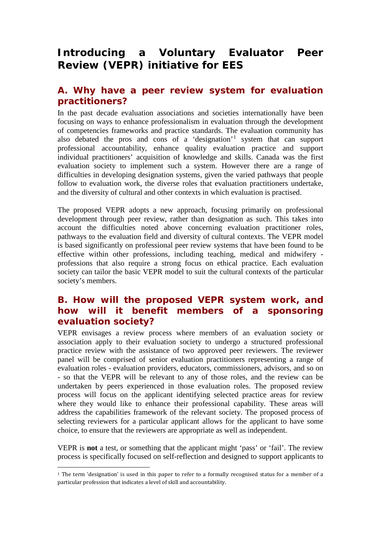## **Introducing a Voluntary Evaluator Peer Review (VEPR) initiative for EES**

## **A. Why have a peer review system for evaluation practitioners?**

In the past decade evaluation associations and societies internationally have been focusing on ways to enhance professionalism in evaluation through the development of competencies frameworks and practice standards. The evaluation community has also debated the pros and cons of a 'designation'[1](#page-0-0) system that can support professional accountability, enhance quality evaluation practice and support individual practitioners' acquisition of knowledge and skills. Canada was the first evaluation society to implement such a system. However there are a range of difficulties in developing designation systems, given the varied pathways that people follow to evaluation work, the diverse roles that evaluation practitioners undertake, and the diversity of cultural and other contexts in which evaluation is practised.

The proposed VEPR adopts a new approach, focusing primarily on professional development through peer review, rather than designation as such. This takes into account the difficulties noted above concerning evaluation practitioner roles, pathways to the evaluation field and diversity of cultural contexts. The VEPR model is based significantly on professional peer review systems that have been found to be effective within other professions, including teaching, medical and midwifery professions that also require a strong focus on ethical practice. Each evaluation society can tailor the basic VEPR model to suit the cultural contexts of the particular society's members.

## **B. How will the proposed VEPR system work, and how will it benefit members of a sponsoring evaluation society?**

VEPR envisages a review process where members of an evaluation society or association apply to their evaluation society to undergo a structured professional practice review with the assistance of two approved peer reviewers. The reviewer panel will be comprised of senior evaluation practitioners representing a range of evaluation roles - evaluation providers, educators, commissioners, advisors, and so on - so that the VEPR will be relevant to any of those roles, and the review can be undertaken by peers experienced in those evaluation roles. The proposed review process will focus on the applicant identifying selected practice areas for review where they would like to enhance their professional capability. These areas will address the capabilities framework of the relevant society. The proposed process of selecting reviewers for a particular applicant allows for the applicant to have some choice, to ensure that the reviewers are appropriate as well as independent.

VEPR is **not** a test, or something that the applicant might 'pass' or 'fail'. The review process is specifically focused on self-reflection and designed to support applicants to

1

<span id="page-0-0"></span><sup>1</sup> The term 'designation' is used in this paper to refer to a formally recognised status for a member of a particular profession that indicates a level of skill and accountability.